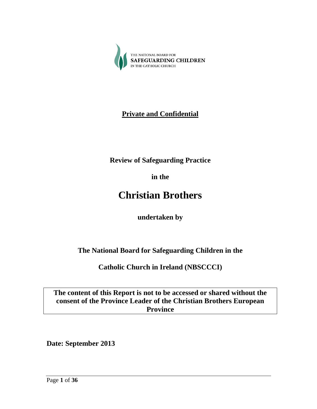

## **Private and Confidential**

**Review of Safeguarding Practice**

**in the**

# **Christian Brothers**

**undertaken by**

**The National Board for Safeguarding Children in the**

**Catholic Church in Ireland (NBSCCCI)**

**The content of this Report is not to be accessed or shared without the consent of the Province Leader of the Christian Brothers European Province**

**Date: September 2013**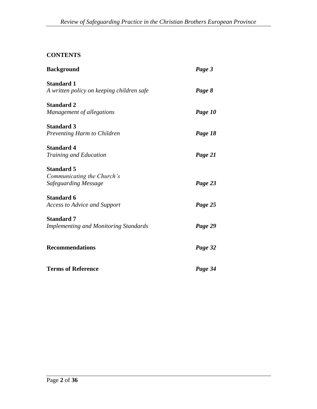## **CONTENTS**

| <b>Background</b>                            | Page 3  |
|----------------------------------------------|---------|
| <b>Standard 1</b>                            |         |
| A written policy on keeping children safe    | Page 8  |
| <b>Standard 2</b>                            |         |
| Management of allegations                    | Page 10 |
| <b>Standard 3</b>                            |         |
| Preventing Harm to Children                  | Page 18 |
| <b>Standard 4</b>                            |         |
| Training and Education                       | Page 21 |
| <b>Standard 5</b>                            |         |
| Communicating the Church's                   |         |
| <b>Safeguarding Message</b>                  | Page 23 |
| <b>Standard 6</b>                            |         |
| <b>Access to Advice and Support</b>          | Page 25 |
| <b>Standard 7</b>                            |         |
| <b>Implementing and Monitoring Standards</b> | Page 29 |
|                                              |         |
| <b>Recommendations</b>                       | Page 32 |
| <b>Terms of Reference</b>                    |         |
|                                              | Page 34 |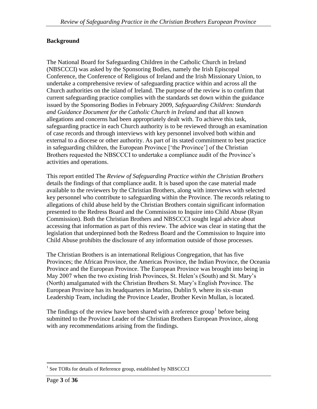#### **Background**

The National Board for Safeguarding Children in the Catholic Church in Ireland (NBSCCCI) was asked by the Sponsoring Bodies, namely the Irish Episcopal Conference, the Conference of Religious of Ireland and the Irish Missionary Union, to undertake a comprehensive review of safeguarding practice within and across all the Church authorities on the island of Ireland. The purpose of the review is to confirm that current safeguarding practice complies with the standards set down within the guidance issued by the Sponsoring Bodies in February 2009, *Safeguarding Children: Standards and Guidance Document for the Catholic Church in Ireland* and that all known allegations and concerns had been appropriately dealt with. To achieve this task, safeguarding practice in each Church authority is to be reviewed through an examination of case records and through interviews with key personnel involved both within and external to a diocese or other authority. As part of its stated commitment to best practice in safeguarding children, the European Province ['the Province'] of the Christian Brothers requested the NBSCCCI to undertake a compliance audit of the Province's activities and operations.

This report entitled The *Review of Safeguarding Practice within the Christian Brothers* details the findings of that compliance audit. It is based upon the case material made available to the reviewers by the Christian Brothers, along with interviews with selected key personnel who contribute to safeguarding within the Province. The records relating to allegations of child abuse held by the Christian Brothers contain significant information presented to the Redress Board and the Commission to Inquire into Child Abuse (Ryan Commission). Both the Christian Brothers and NBSCCCI sought legal advice about accessing that information as part of this review. The advice was clear in stating that the legislation that underpinned both the Redress Board and the Commission to Inquire into Child Abuse prohibits the disclosure of any information outside of those processes.

The Christian Brothers is an international Religious Congregation, that has five Provinces; the African Province, the Americas Province, the Indian Province, the Oceania Province and the European Province. The European Province was brought into being in May 2007 when the two existing Irish Provinces, St. Helen's (South) and St. Mary's (North) amalgamated with the Christian Brothers St. Mary's English Province. The European Province has its headquarters in Marino, Dublin 9, where its six-man Leadership Team, including the Province Leader, Brother Kevin Mullan, is located.

The findings of the review have been shared with a reference group<sup>1</sup> before being submitted to the Province Leader of the Christian Brothers European Province, along with any recommendations arising from the findings.

 $\overline{a}$ 

<sup>&</sup>lt;sup>1</sup> See TORs for details of Reference group, established by NBSCCCI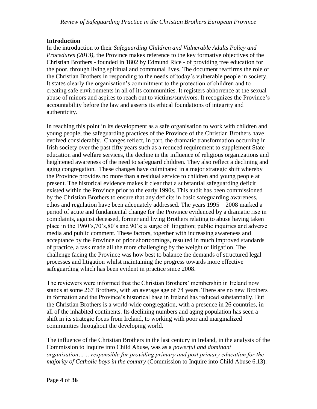#### **Introduction**

In the introduction to their *Safeguarding Children and Vulnerable Adults Policy and Procedures (2013)*, the Province makes reference to the key formative objectives of the Christian Brothers - founded in 1802 by Edmund Rice - of providing free education for the poor, through living spiritual and communal lives. The document reaffirms the role of the Christian Brothers in responding to the needs of today's vulnerable people in society. It states clearly the organisation's commitment to the protection of children and to creating safe environments in all of its communities. It registers abhorrence at the sexual abuse of minors and aspires to reach out to victims/survivors. It recognizes the Province's accountability before the law and asserts its ethical foundations of integrity and authenticity.

In reaching this point in its development as a safe organisation to work with children and young people, the safeguarding practices of the Province of the Christian Brothers have evolved considerably. Changes reflect, in part, the dramatic transformation occurring in Irish society over the past fifty years such as a reduced requirement to supplement State education and welfare services, the decline in the influence of religious organizations and heightened awareness of the need to safeguard children. They also reflect a declining and aging congregation. These changes have culminated in a major strategic shift whereby the Province provides no more than a residual service to children and young people at present. The historical evidence makes it clear that a substantial safeguarding deficit existed within the Province prior to the early 1990s. This audit has been commissioned by the Christian Brothers to ensure that any deficits in basic safeguarding awareness, ethos and regulation have been adequately addressed. The years 1995 – 2008 marked a period of acute and fundamental change for the Province evidenced by a dramatic rise in complaints, against deceased, former and living Brothers relating to abuse having taken place in the 1960's,70's,80's and 90's; a surge of litigation; public inquiries and adverse media and public comment. These factors, together with increasing awareness and acceptance by the Province of prior shortcomings, resulted in much improved standards of practice, a task made all the more challenging by the weight of litigation. The challenge facing the Province was how best to balance the demands of structured legal processes and litigation whilst maintaining the progress towards more effective safeguarding which has been evident in practice since 2008.

The reviewers were informed that the Christian Brothers' membership in Ireland now stands at some 267 Brothers, with an average age of 74 years. There are no new Brothers in formation and the Province's historical base in Ireland has reduced substantially. But the Christian Brothers is a world-wide congregation, with a presence in 26 countries, in all of the inhabited continents. Its declining numbers and aging population has seen a shift in its strategic focus from Ireland, to working with poor and marginalized communities throughout the developing world.

The influence of the Christian Brothers in the last century in Ireland, in the analysis of the Commission to Inquire into Child Abuse, was as a *powerful and dominant organisation…… responsible for providing primary and post primary education for the majority of Catholic boys in the country* (Commission to Inquire into Child Abuse 6.13).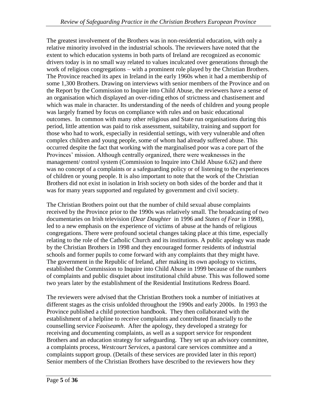The greatest involvement of the Brothers was in non-residential education, with only a relative minority involved in the industrial schools. The reviewers have noted that the extent to which education systems in both parts of Ireland are recognized as economic drivers today is in no small way related to values inculcated over generations through the work of religious congregations – with a prominent role played by the Christian Brothers. The Province reached its apex in Ireland in the early 1960s when it had a membership of some 1,300 Brothers. Drawing on interviews with senior members of the Province and on the Report by the Commission to Inquire into Child Abuse, the reviewers have a sense of an organisation which displayed an over-riding ethos of strictness and chastisement and which was male in character. Its understanding of the needs of children and young people was largely framed by focus on compliance with rules and on basic educational outcomes. In common with many other religious and State run organisations during this period, little attention was paid to risk assessment, suitability, training and support for those who had to work, especially in residential settings, with very vulnerable and often complex children and young people, some of whom had already suffered abuse. This occurred despite the fact that working with the marginalised poor was a core part of the Provinces' mission. Although centrally organized, there were weaknesses in the management/ control system (Commission to Inquire into Child Abuse 6.62) and there was no concept of a complaints or a safeguarding policy or of listening to the experiences of children or young people. It is also important to note that the work of the Christian Brothers did not exist in isolation in Irish society on both sides of the border and that it was for many years supported and regulated by government and civil society.

The Christian Brothers point out that the number of child sexual abuse complaints received by the Province prior to the 1990s was relatively small. The broadcasting of two documentaries on Irish television (*Dear Daughter* in 1996 and *States of Fear* in 1998), led to a new emphasis on the experience of victims of abuse at the hands of religious congregations. There were profound societal changes taking place at this time, especially relating to the role of the Catholic Church and its institutions. A public apology was made by the Christian Brothers in 1998 and they encouraged former residents of industrial schools and former pupils to come forward with any complaints that they might have. The government in the Republic of Ireland, after making its own apology to victims, established the Commission to Inquire into Child Abuse in 1999 because of the numbers of complaints and public disquiet about institutional child abuse. This was followed some two years later by the establishment of the Residential Institutions Redress Board.

The reviewers were advised that the Christian Brothers took a number of initiatives at different stages as the crisis unfolded throughout the 1990s and early 2000s. In 1993 the Province published a child protection handbook. They then collaborated with the establishment of a helpline to receive complaints and contributed financially to the counselling service *Faoiseamh*. After the apology, they developed a strategy for receiving and documenting complaints, as well as a support service for respondent Brothers and an education strategy for safeguarding. They set up an advisory committee, a complaints process, *Westcourt Services*, a pastoral care services committee and a complaints support group. (Details of these services are provided later in this report) Senior members of the Christian Brothers have described to the reviewers how they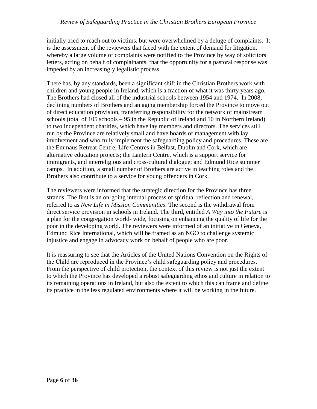initially tried to reach out to victims, but were overwhelmed by a deluge of complaints. It is the assessment of the reviewers that faced with the extent of demand for litigation, whereby a large volume of complaints were notified to the Province by way of solicitors letters, acting on behalf of complainants, that the opportunity for a pastoral response was impeded by an increasingly legalistic process.

There has, by any standards, been a significant shift in the Christian Brothers work with children and young people in Ireland, which is a fraction of what it was thirty years ago. The Brothers had closed all of the industrial schools between 1954 and 1974. In 2008, declining numbers of Brothers and an aging membership forced the Province to move out of direct education provision, transferring responsibility for the network of mainstream schools (total of 105 schools – 95 in the Republic of Ireland and 10 in Northern Ireland) to two independent charities, which have lay members and directors. The services still run by the Province are relatively small and have boards of management with lay involvement and who fully implement the safeguarding policy and procedures. These are the Emmaus Retreat Centre; Life Centres in Belfast, Dublin and Cork, which are alternative education projects; the Lantern Centre, which is a support service for immigrants, and interreligious and cross-cultural dialogue; and Edmund Rice summer camps. In addition, a small number of Brothers are active in teaching roles and the Brothers also contribute to a service for young offenders in Cork.

The reviewers were informed that the strategic direction for the Province has three strands. The first is an on-going internal process of spiritual reflection and renewal, referred to as *New Life in Mission Communities*. The second is the withdrawal from direct service provision in schools in Ireland. The third, entitled *A Way into the Future* is a plan for the congregation world- wide, focusing on enhancing the quality of life for the poor in the developing world. The reviewers were informed of an initiative in Geneva, Edmund Rice International, which will be framed as an NGO to challenge systemic injustice and engage in advocacy work on behalf of people who are poor.

It is reassuring to see that the Articles of the United Nations Convention on the Rights of the Child are reproduced in the Province's child safeguarding policy and procedures. From the perspective of child protection, the context of this review is not just the extent to which the Province has developed a robust safeguarding ethos and culture in relation to its remaining operations in Ireland, but also the extent to which this can frame and define its practice in the less regulated environments where it will be working in the future.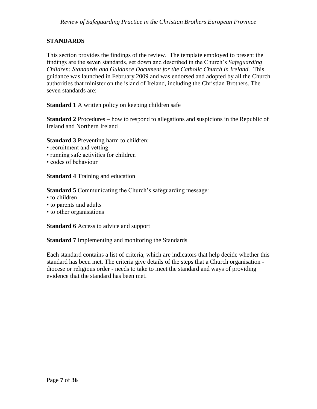#### **STANDARDS**

This section provides the findings of the review. The template employed to present the findings are the seven standards, set down and described in the Church's *Safeguarding Children: Standards and Guidance Document for the Catholic Church in Ireland.* This guidance was launched in February 2009 and was endorsed and adopted by all the Church authorities that minister on the island of Ireland, including the Christian Brothers. The seven standards are:

**Standard 1** A written policy on keeping children safe

**Standard 2** Procedures – how to respond to allegations and suspicions in the Republic of Ireland and Northern Ireland

**Standard 3** Preventing harm to children:

- recruitment and vetting
- running safe activities for children
- codes of behaviour

**Standard 4** Training and education

**Standard 5** Communicating the Church's safeguarding message:

- to children
- to parents and adults
- to other organisations

**Standard 6** Access to advice and support

**Standard 7** Implementing and monitoring the Standards

Each standard contains a list of criteria, which are indicators that help decide whether this standard has been met. The criteria give details of the steps that a Church organisation diocese or religious order - needs to take to meet the standard and ways of providing evidence that the standard has been met.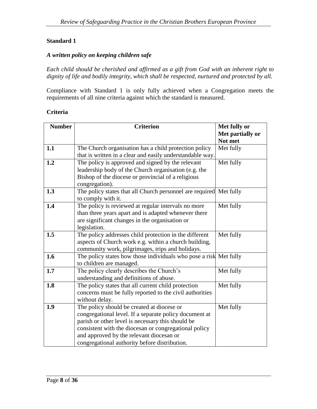#### **Standard 1**

#### *A written policy on keeping children safe*

*Each child should be cherished and affirmed as a gift from God with an inherent right to dignity of life and bodily integrity, which shall be respected, nurtured and protected by all.*

Compliance with Standard 1 is only fully achieved when a Congregation meets the requirements of all nine criteria against which the standard is measured.

#### **Criteria**

| <b>Number</b> | <b>Criterion</b>                                                  | Met fully or     |
|---------------|-------------------------------------------------------------------|------------------|
|               |                                                                   | Met partially or |
|               |                                                                   | Not met          |
| 1.1           | The Church organisation has a child protection policy             | Met fully        |
|               | that is written in a clear and easily understandable way.         |                  |
| 1.2           | The policy is approved and signed by the relevant                 | Met fully        |
|               | leadership body of the Church organisation (e.g. the              |                  |
|               | Bishop of the diocese or provincial of a religious                |                  |
|               | congregation).                                                    |                  |
| 1.3           | The policy states that all Church personnel are required          | Met fully        |
|               | to comply with it.                                                |                  |
| 1.4           | The policy is reviewed at regular intervals no more               | Met fully        |
|               | than three years apart and is adapted whenever there              |                  |
|               | are significant changes in the organisation or                    |                  |
|               | legislation.                                                      |                  |
| 1.5           | The policy addresses child protection in the different            | Met fully        |
|               | aspects of Church work e.g. within a church building,             |                  |
|               | community work, pilgrimages, trips and holidays.                  |                  |
| 1.6           | The policy states how those individuals who pose a risk Met fully |                  |
|               | to children are managed.                                          |                  |
| 1.7           | The policy clearly describes the Church's                         | Met fully        |
|               | understanding and definitions of abuse.                           |                  |
| 1.8           | The policy states that all current child protection               | Met fully        |
|               | concerns must be fully reported to the civil authorities          |                  |
|               | without delay.                                                    |                  |
| 1.9           | The policy should be created at diocese or                        | Met fully        |
|               | congregational level. If a separate policy document at            |                  |
|               | parish or other level is necessary this should be                 |                  |
|               | consistent with the diocesan or congregational policy             |                  |
|               | and approved by the relevant diocesan or                          |                  |
|               | congregational authority before distribution.                     |                  |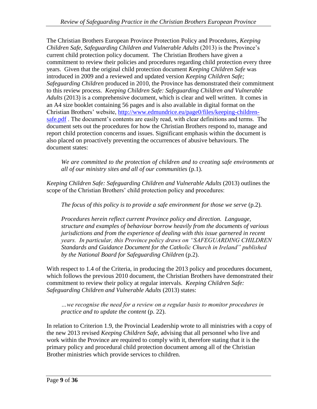The Christian Brothers European Province Protection Policy and Procedures, *Keeping Children Safe, Safeguarding Children and Vulnerable Adults (2013)* is the Province's current child protection policy document. The Christian Brothers have given a commitment to review their policies and procedures regarding child protection every three years. Given that the original child protection document *Keeping Children Safe* was introduced in 2009 and a reviewed and updated version *Keeping Children Safe; Safeguarding Children* produced in 2010, the Province has demonstrated their commitment to this review process. *Keeping Children Safe: Safeguarding Children and Vulnerable Adults* (2013) is a comprehensive document, which is clear and well written. It comes in an A4 size booklet containing 56 pages and is also available in digital format on the Christian Brothers' website, [http://www.edmundrice.eu/page0/files/keeping-children](http://www.edmundrice.eu/page0/files/keeping-children-safe.pdf)[safe.pdf](http://www.edmundrice.eu/page0/files/keeping-children-safe.pdf). The document's contents are easily read, with clear definitions and terms. The document sets out the procedures for how the Christian Brothers respond to, manage and report child protection concerns and issues. Significant emphasis within the document is also placed on proactively preventing the occurrences of abusive behaviours. The document states:

*We are committed to the protection of children and to creating safe environments at all of our ministry sites and all of our communities* (p.1).

*Keeping Children Safe: Safeguarding Children and Vulnerable Adults* (2013) outlines the scope of the Christian Brothers' child protection policy and procedures:

*The focus of this policy is to provide a safe environment for those we serve* (p.2).

*Procedures herein reflect current Province policy and direction. Language, structure and examples of behaviour borrow heavily from the documents of various jurisdictions and from the experience of dealing with this issue garnered in recent years. In particular, this Province policy draws on "SAFEGUARDING CHILDREN Standards and Guidance Document for the Catholic Church in Ireland" published by the National Board for Safeguarding Children* (p.2).

With respect to 1.4 of the Criteria, in producing the 2013 policy and procedures document, which follows the previous 2010 document, the Christian Brothers have demonstrated their commitment to review their policy at regular intervals. *Keeping Children Safe: Safeguarding Children and Vulnerable Adults* (2013) states:

*…we recognise the need for a review on a regular basis to monitor procedures in practice and to update the content* (p. 22).

In relation to Criterion 1.9, the Provincial Leadership wrote to all ministries with a copy of the new 2013 revised *Keeping Children Safe*, advising that all personnel who live and work within the Province are required to comply with it, therefore stating that it is the primary policy and procedural child protection document among all of the Christian Brother ministries which provide services to children.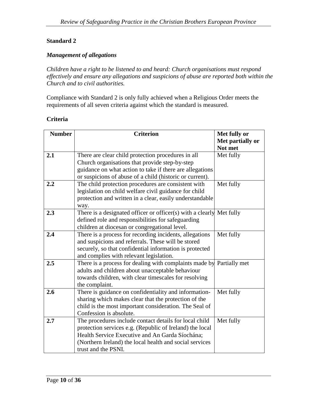#### **Standard 2**

#### *Management of allegations*

*Children have a right to be listened to and heard: Church organisations must respond effectively and ensure any allegations and suspicions of abuse are reported both within the Church and to civil authorities.*

Compliance with Standard 2 is only fully achieved when a Religious Order meets the requirements of all seven criteria against which the standard is measured.

| <b>Number</b> | <b>Criterion</b>                                                        | Met fully or     |
|---------------|-------------------------------------------------------------------------|------------------|
|               |                                                                         | Met partially or |
|               |                                                                         | Not met          |
| 2.1           | There are clear child protection procedures in all                      | Met fully        |
|               | Church organisations that provide step-by-step                          |                  |
|               | guidance on what action to take if there are allegations                |                  |
|               | or suspicions of abuse of a child (historic or current).                |                  |
| 2.2           | The child protection procedures are consistent with                     | Met fully        |
|               | legislation on child welfare civil guidance for child                   |                  |
|               | protection and written in a clear, easily understandable                |                  |
|               | way.                                                                    |                  |
| 2.3           | There is a designated officer or officer(s) with $\overline{a}$ clearly | Met fully        |
|               | defined role and responsibilities for safeguarding                      |                  |
|               | children at diocesan or congregational level.                           |                  |
| 2.4           | There is a process for recording incidents, allegations                 | Met fully        |
|               | and suspicions and referrals. These will be stored                      |                  |
|               | securely, so that confidential information is protected                 |                  |
|               | and complies with relevant legislation.                                 |                  |
| 2.5           | There is a process for dealing with complaints made by                  | Partially met    |
|               | adults and children about unacceptable behaviour                        |                  |
|               | towards children, with clear timescales for resolving                   |                  |
|               | the complaint.                                                          |                  |
| 2.6           | There is guidance on confidentiality and information-                   | Met fully        |
|               | sharing which makes clear that the protection of the                    |                  |
|               | child is the most important consideration. The Seal of                  |                  |
|               | Confession is absolute.                                                 |                  |
| 2.7           | The procedures include contact details for local child                  | Met fully        |
|               | protection services e.g. (Republic of Ireland) the local                |                  |
|               | Health Service Executive and An Garda Síochána;                         |                  |
|               | (Northern Ireland) the local health and social services                 |                  |
|               | trust and the PSNI.                                                     |                  |

#### **Criteria**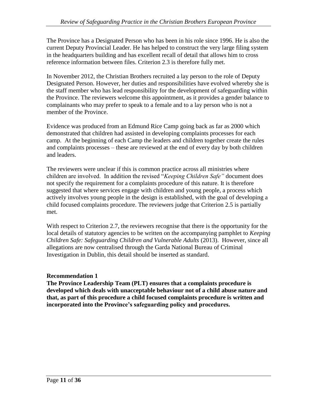The Province has a Designated Person who has been in his role since 1996. He is also the current Deputy Provincial Leader. He has helped to construct the very large filing system in the headquarters building and has excellent recall of detail that allows him to cross reference information between files. Criterion 2.3 is therefore fully met.

In November 2012, the Christian Brothers recruited a lay person to the role of Deputy Designated Person. However, her duties and responsibilities have evolved whereby she is the staff member who has lead responsibility for the development of safeguarding within the Province. The reviewers welcome this appointment, as it provides a gender balance to complainants who may prefer to speak to a female and to a lay person who is not a member of the Province.

Evidence was produced from an Edmund Rice Camp going back as far as 2000 which demonstrated that children had assisted in developing complaints processes for each camp. At the beginning of each Camp the leaders and children together create the rules and complaints processes – these are reviewed at the end of every day by both children and leaders.

The reviewers were unclear if this is common practice across all ministries where children are involved. In addition the revised "*Keeping Children Safe"* document does not specify the requirement for a complaints procedure of this nature. It is therefore suggested that where services engage with children and young people, a process which actively involves young people in the design is established, with the goal of developing a child focused complaints procedure. The reviewers judge that Criterion 2.5 is partially met.

With respect to Criterion 2.7, the reviewers recognise that there is the opportunity for the local details of statutory agencies to be written on the accompanying pamphlet to *Keeping Children Safe: Safeguarding Children and Vulnerable Adults* (2013). However, since all allegations are now centralised through the Garda National Bureau of Criminal Investigation in Dublin, this detail should be inserted as standard.

## **Recommendation 1**

**The Province Leadership Team (PLT) ensures that a complaints procedure is developed which deals with unacceptable behaviour not of a child abuse nature and that, as part of this procedure a child focused complaints procedure is written and incorporated into the Province's safeguarding policy and procedures.**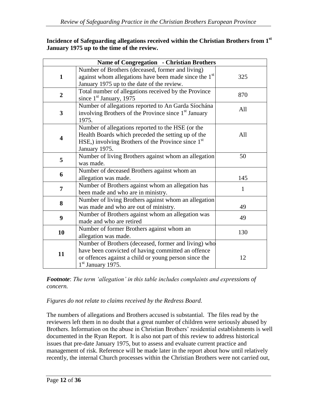| Incidence of Safeguarding allegations received within the Christian Brothers from 1 <sup>st</sup> |  |
|---------------------------------------------------------------------------------------------------|--|
| January 1975 up to the time of the review.                                                        |  |

| Name of Congregation - Christian Brothers |                                                                                                                                                                                            |     |
|-------------------------------------------|--------------------------------------------------------------------------------------------------------------------------------------------------------------------------------------------|-----|
| $\mathbf{1}$                              | Number of Brothers (deceased, former and living)<br>against whom allegations have been made since the 1 <sup>st</sup><br>January 1975 up to the date of the review.                        | 325 |
| $\overline{2}$                            | Total number of allegations received by the Province<br>since $1st$ January, 1975                                                                                                          | 870 |
| 3                                         | Number of allegations reported to An Garda Síochána<br>involving Brothers of the Province since 1 <sup>st</sup> January<br>1975.                                                           | All |
| 4                                         | Number of allegations reported to the HSE (or the<br>Health Boards which preceded the setting up of the<br>HSE,) involving Brothers of the Province since $1st$<br>January 1975.           | All |
| 5                                         | Number of living Brothers against whom an allegation<br>was made.                                                                                                                          | 50  |
| 6                                         | Number of deceased Brothers against whom an<br>allegation was made.                                                                                                                        | 145 |
| $\overline{7}$                            | Number of Brothers against whom an allegation has<br>been made and who are in ministry.                                                                                                    | 1   |
| 8                                         | Number of living Brothers against whom an allegation<br>was made and who are out of ministry.                                                                                              | 49  |
| $\boldsymbol{9}$                          | Number of Brothers against whom an allegation was<br>made and who are retired                                                                                                              | 49  |
| 10                                        | Number of former Brothers against whom an<br>allegation was made.                                                                                                                          | 130 |
| 11                                        | Number of Brothers (deceased, former and living) who<br>have been convicted of having committed an offence<br>or offences against a child or young person since the<br>$1st$ January 1975. | 12  |

*Footnote*: *The term 'allegation' in this table includes complaints and expressions of concern.*

## *Figures do not relate to claims received by the Redress Board.*

The numbers of allegations and Brothers accused is substantial. The files read by the reviewers left them in no doubt that a great number of children were seriously abused by Brothers. Information on the abuse in Christian Brothers' residential establishments is well documented in the Ryan Report. It is also not part of this review to address historical issues that pre-date January 1975, but to assess and evaluate current practice and management of risk. Reference will be made later in the report about how until relatively recently, the internal Church processes within the Christian Brothers were not carried out,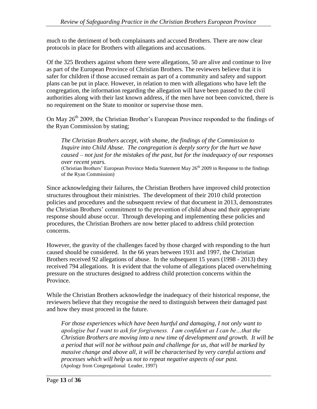much to the detriment of both complainants and accused Brothers. There are now clear protocols in place for Brothers with allegations and accusations.

Of the 325 Brothers against whom there were allegations, 50 are alive and continue to live as part of the European Province of Christian Brothers. The reviewers believe that it is safer for children if those accused remain as part of a community and safety and support plans can be put in place. However, in relation to men with allegations who have left the congregation, the information regarding the allegation will have been passed to the civil authorities along with their last known address, if the men have not been convicted, there is no requirement on the State to monitor or supervise those men.

On May 26<sup>th</sup> 2009, the Christian Brother's European Province responded to the findings of the Ryan Commission by stating;

*The Christian Brothers accept, with shame, the findings of the Commission to Inquire into Child Abuse. The congregation is deeply sorry for the hurt we have caused – not just for the mistakes of the past, but for the inadequacy of our responses over recent years.*

(Christian Brothers' European Province Media Statement May  $26<sup>th</sup>$  2009 in Response to the findings of the Ryan Commission)

Since acknowledging their failures, the Christian Brothers have improved child protection structures throughout their ministries. The development of their 2010 child protection policies and procedures and the subsequent review of that document in 2013, demonstrates the Christian Brothers' commitment to the prevention of child abuse and their appropriate response should abuse occur. Through developing and implementing these policies and procedures, the Christian Brothers are now better placed to address child protection concerns.

However, the gravity of the challenges faced by those charged with responding to the hurt caused should be considered. In the 66 years between 1931 and 1997, the Christian Brothers received 92 allegations of abuse. In the subsequent 15 years (1998 - 2013) they received 794 allegations. It is evident that the volume of allegations placed overwhelming pressure on the structures designed to address child protection concerns within the Province.

While the Christian Brothers acknowledge the inadequacy of their historical response, the reviewers believe that they recognise the need to distinguish between their damaged past and how they must proceed in the future.

*For those experiences which have been hurtful and damaging, I not only want to apologise but I want to ask for forgiveness. I am confident as I can be…that the Christian Brothers are moving into a new time of development and growth. It will be a period that will not be without pain and challenge for us, that will be marked by massive change and above all, it will be characterised by very careful actions and processes which will help us not to repeat negative aspects of our past.*  (Apology from Congregational Leader, 1997)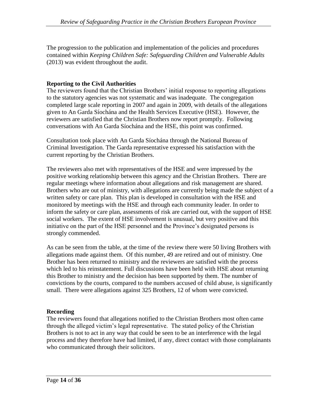The progression to the publication and implementation of the policies and procedures contained within *Keeping Children Safe: Safeguarding Children and Vulnerable Adults*  (2013) was evident throughout the audit.

## **Reporting to the Civil Authorities**

The reviewers found that the Christian Brothers' initial response to reporting allegations to the statutory agencies was not systematic and was inadequate. The congregation completed large scale reporting in 2007 and again in 2009, with details of the allegations given to An Garda Síochána and the Health Services Executive (HSE). However, the reviewers are satisfied that the Christian Brothers now report promptly. Following conversations with An Garda Síochána and the HSE, this point was confirmed.

Consultation took place with An Garda Síochána through the National Bureau of Criminal Investigation. The Garda representative expressed his satisfaction with the current reporting by the Christian Brothers.

The reviewers also met with representatives of the HSE and were impressed by the positive working relationship between this agency and the Christian Brothers. There are regular meetings where information about allegations and risk management are shared. Brothers who are out of ministry, with allegations are currently being made the subject of a written safety or care plan. This plan is developed in consultation with the HSE and monitored by meetings with the HSE and through each community leader. In order to inform the safety or care plan, assessments of risk are carried out, with the support of HSE social workers. The extent of HSE involvement is unusual, but very positive and this initiative on the part of the HSE personnel and the Province's designated persons is strongly commended.

As can be seen from the table, at the time of the review there were 50 living Brothers with allegations made against them. Of this number, 49 are retired and out of ministry. One Brother has been returned to ministry and the reviewers are satisfied with the process which led to his reinstatement. Full discussions have been held with HSE about returning this Brother to ministry and the decision has been supported by them. The number of convictions by the courts, compared to the numbers accused of child abuse, is significantly small. There were allegations against 325 Brothers, 12 of whom were convicted.

## **Recording**

The reviewers found that allegations notified to the Christian Brothers most often came through the alleged victim's legal representative. The stated policy of the Christian Brothers is not to act in any way that could be seen to be an interference with the legal process and they therefore have had limited, if any, direct contact with those complainants who communicated through their solicitors.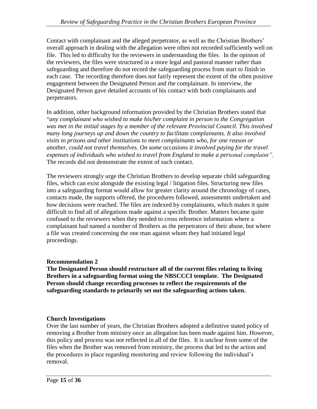Contact with complainant and the alleged perpetrator, as well as the Christian Brothers' overall approach in dealing with the allegation were often not recorded sufficiently well on file. This led to difficulty for the reviewers in understanding the files. In the opinion of the reviewers, the files were structured in a more legal and pastoral manner rather than safeguarding and therefore do not record the safeguarding process from start to finish in each case. The recording therefore does not fairly represent the extent of the often positive engagement between the Designated Person and the complainant. In interview, the Designated Person gave detailed accounts of his contact with both complainants and perpetrators.

In addition, other background information provided by the Christian Brothers stated that "*any complainant who wished to make his/her complaint in person to the Congregation was met in the initial stages by a member of the relevant Provincial Council. This involved many long journeys up and down the country to facilitate complainants. It also involved visits to prisons and other institutions to meet complainants who, for one reason or another, could not travel themselves. On some occasions it involved paying for the travel expenses of individuals who wished to travel from England to make a personal complaint".*  The records did not demonstrate the extent of such contact.

The reviewers strongly urge the Christian Brothers to develop separate child safeguarding files, which can exist alongside the existing legal / litigation files. Structuring new files into a safeguarding format would allow for greater clarity around the chronology of cases, contacts made, the supports offered, the procedures followed, assessments undertaken and how decisions were reached. The files are indexed by complainants, which makes it quite difficult to find all of allegations made against a specific Brother. Matters became quite confused to the reviewers when they needed to cross reference information where a complainant had named a number of Brothers as the perpetrators of their abuse, but where a file was created concerning the one man against whom they had initiated legal proceedings.

## **Recommendation 2**

**The Designated Person should restructure all of the current files relating to living Brothers in a safeguarding format using the NBSCCCI template. The Designated Person should change recording processes to reflect the requirements of the safeguarding standards to primarily set out the safeguarding actions taken.**

## **Church Investigations**

Over the last number of years, the Christian Brothers adopted a definitive stated policy of removing a Brother from ministry once an allegation has been made against him. However, this policy and process was not reflected in all of the files. It is unclear from some of the files when the Brother was removed from ministry, the process that led to the action and the procedures in place regarding monitoring and review following the individual's removal.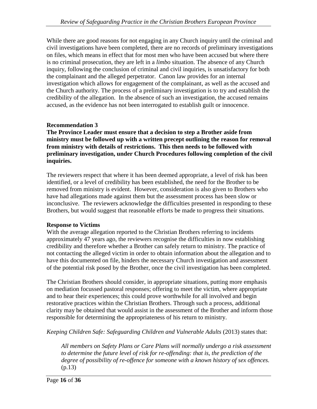While there are good reasons for not engaging in any Church inquiry until the criminal and civil investigations have been completed, there are no records of preliminary investigations on files, which means in effect that for most men who have been accused but where there is no criminal prosecution, they are left in a *limbo* situation. The absence of any Church inquiry, following the conclusion of criminal and civil inquiries, is unsatisfactory for both the complainant and the alleged perpetrator. Canon law provides for an internal investigation which allows for engagement of the complainant, as well as the accused and the Church authority. The process of a preliminary investigation is to try and establish the credibility of the allegation. In the absence of such an investigation, the accused remains accused, as the evidence has not been interrogated to establish guilt or innocence.

## **Recommendation 3**

**The Province Leader must ensure that a decision to step a Brother aside from ministry must be followed up with a written precept outlining the reason for removal from ministry with details of restrictions. This then needs to be followed with preliminary investigation, under Church Procedures following completion of the civil inquiries.** 

The reviewers respect that where it has been deemed appropriate, a level of risk has been identified, or a level of credibility has been established, the need for the Brother to be removed from ministry is evident. However, consideration is also given to Brothers who have had allegations made against them but the assessment process has been slow or inconclusive. The reviewers acknowledge the difficulties presented in responding to these Brothers, but would suggest that reasonable efforts be made to progress their situations.

## **Response to Victims**

With the average allegation reported to the Christian Brothers referring to incidents approximately 47 years ago, the reviewers recognise the difficulties in now establishing credibility and therefore whether a Brother can safely return to ministry. The practice of not contacting the alleged victim in order to obtain information about the allegation and to have this documented on file, hinders the necessary Church investigation and assessment of the potential risk posed by the Brother, once the civil investigation has been completed.

The Christian Brothers should consider, in appropriate situations, putting more emphasis on mediation focussed pastoral responses; offering to meet the victim, where appropriate and to hear their experiences; this could prove worthwhile for all involved and begin restorative practices within the Christian Brothers. Through such a process, additional clarity may be obtained that would assist in the assessment of the Brother and inform those responsible for determining the appropriateness of his return to ministry.

*Keeping Children Safe: Safeguarding Children and Vulnerable Adults* (2013) states that:

*All members on Safety Plans or Care Plans will normally undergo a risk assessment to determine the future level of risk for re-offending: that is, the prediction of the degree of possibility of re-offence for someone with a known history of sex offences.*  (p.13)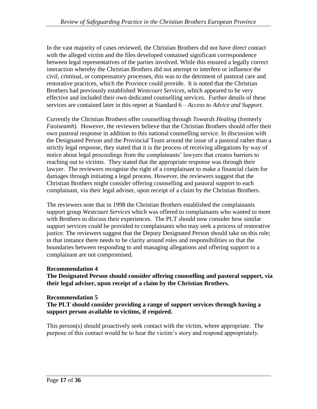In the vast majority of cases reviewed, the Christian Brothers did not have direct contact with the alleged victim and the files developed contained significant correspondence between legal representatives of the parties involved. While this ensured a legally correct interaction whereby the Christian Brothers did not attempt to interfere or influence the civil, criminal, or compensatory processes, this was to the detriment of pastoral care and restorative practices, which the Province could provide. It is noted that the Christian Brothers had previously established *Westcourt Services*, which appeared to be very effective and included their own dedicated counselling services. Further details of these services are contained later in this report at Standard 6 – *Access to Advice and Support.* 

Currently the Christian Brothers offer counselling through *Towards Healing* (formerly *Faoiseamh*). However, the reviewers believe that the Christian Brothers should offer their own pastoral response in addition to this national counselling service. In discussion with the Designated Person and the Provincial Team around the issue of a pastoral rather than a strictly legal response, they stated that it is the process of receiving allegations by way of notice about legal proceedings from the complainants' lawyers that creates barriers to reaching out to victims. They stated that the appropriate response was through their lawyer. The reviewers recognise the right of a complainant to make a financial claim for damages through initiating a legal process. However, the reviewers suggest that the Christian Brothers might consider offering counselling and pastoral support to each complainant, via their legal adviser, upon receipt of a claim by the Christian Brothers.

The reviewers note that in 1998 the Christian Brothers established the complainants support group *Westcourt Services* which was offered to complainants who wanted to meet with Brothers to discuss their experiences. The PLT should now consider how similar support services could be provided to complainants who may seek a process of restorative justice. The reviewers suggest that the Deputy Designated Person should take on this role; in that instance there needs to be clarity around roles and responsibilities so that the boundaries between responding to and managing allegations and offering support to a complainant are not compromised.

## **Recommendation 4**

**The Designated Person should consider offering counselling and pastoral support, via their legal adviser, upon receipt of a claim by the Christian Brothers.** 

## **Recommendation 5**

**The PLT should consider providing a range of support services through having a support person available to victims, if required.** 

This person(s) should proactively seek contact with the victim, where appropriate. The purpose of this contact would be to hear the victim's story and respond appropriately.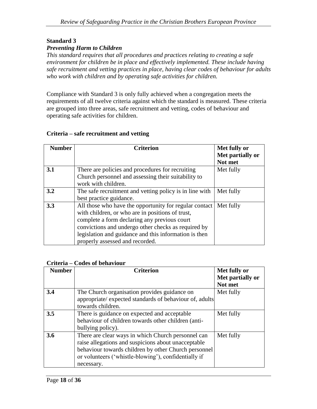## **Standard 3**

#### *Preventing Harm to Children*

*This standard requires that all procedures and practices relating to creating a safe environment for children be in place and effectively implemented. These include having safe recruitment and vetting practices in place, having clear codes of behaviour for adults who work with children and by operating safe activities for children.*

Compliance with Standard 3 is only fully achieved when a congregation meets the requirements of all twelve criteria against which the standard is measured. These criteria are grouped into three areas, safe recruitment and vetting, codes of behaviour and operating safe activities for children.

#### **Criteria – safe recruitment and vetting**

| <b>Number</b> | <b>Criterion</b>                                                                                                                                                                                                                                                                                              | Met fully or<br>Met partially or<br>Not met |
|---------------|---------------------------------------------------------------------------------------------------------------------------------------------------------------------------------------------------------------------------------------------------------------------------------------------------------------|---------------------------------------------|
| 3.1           | There are policies and procedures for recruiting<br>Church personnel and assessing their suitability to<br>work with children.                                                                                                                                                                                | Met fully                                   |
| 3.2           | The safe recruitment and vetting policy is in line with<br>best practice guidance.                                                                                                                                                                                                                            | Met fully                                   |
| 3.3           | All those who have the opportunity for regular contact<br>with children, or who are in positions of trust,<br>complete a form declaring any previous court<br>convictions and undergo other checks as required by<br>legislation and guidance and this information is then<br>properly assessed and recorded. | Met fully                                   |

#### **Criteria – Codes of behaviour**

| <b>Number</b> | <b>Criterion</b>                                        | Met fully or     |
|---------------|---------------------------------------------------------|------------------|
|               |                                                         | Met partially or |
|               |                                                         | Not met          |
| 3.4           | The Church organisation provides guidance on            | Met fully        |
|               | appropriate/ expected standards of behaviour of, adults |                  |
|               | towards children.                                       |                  |
| 3.5           | There is guidance on expected and acceptable            | Met fully        |
|               | behaviour of children towards other children (anti-     |                  |
|               | bullying policy).                                       |                  |
| 3.6           | There are clear ways in which Church personnel can      | Met fully        |
|               | raise allegations and suspicions about unacceptable     |                  |
|               | behaviour towards children by other Church personnel    |                  |
|               | or volunteers ('whistle-blowing'), confidentially if    |                  |
|               | necessary.                                              |                  |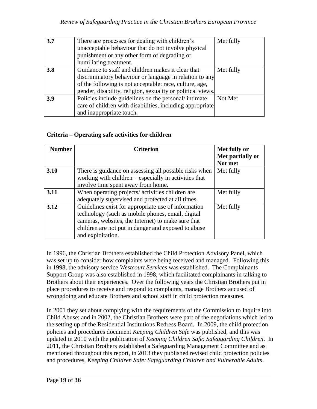| 3.7 | There are processes for dealing with children's<br>unacceptable behaviour that do not involve physical | Met fully |
|-----|--------------------------------------------------------------------------------------------------------|-----------|
|     | punishment or any other form of degrading or                                                           |           |
|     | humiliating treatment.                                                                                 |           |
| 3.8 | Guidance to staff and children makes it clear that                                                     | Met fully |
|     | discriminatory behaviour or language in relation to any                                                |           |
|     | of the following is not acceptable: race, culture, age,                                                |           |
|     | gender, disability, religion, sexuality or political views.                                            |           |
| 3.9 | Policies include guidelines on the personal/intimate                                                   | Not Met   |
|     | care of children with disabilities, including appropriate                                              |           |
|     | and inappropriate touch.                                                                               |           |

## **Criteria – Operating safe activities for children**

| <b>Number</b> | <b>Criterion</b>                                       | Met fully or     |
|---------------|--------------------------------------------------------|------------------|
|               |                                                        | Met partially or |
|               |                                                        | Not met          |
| 3.10          | There is guidance on assessing all possible risks when | Met fully        |
|               | working with children – especially in activities that  |                  |
|               | involve time spent away from home.                     |                  |
| 3.11          | When operating projects/activities children are        | Met fully        |
|               | adequately supervised and protected at all times.      |                  |
| 3.12          | Guidelines exist for appropriate use of information    | Met fully        |
|               | technology (such as mobile phones, email, digital      |                  |
|               | cameras, websites, the Internet) to make sure that     |                  |
|               | children are not put in danger and exposed to abuse    |                  |
|               | and exploitation.                                      |                  |

In 1996, the Christian Brothers established the Child Protection Advisory Panel, which was set up to consider how complaints were being received and managed. Following this in 1998, the advisory service *Westcourt Services* was established. The Complainants Support Group was also established in 1998, which facilitated complainants in talking to Brothers about their experiences. Over the following years the Christian Brothers put in place procedures to receive and respond to complaints, manage Brothers accused of wrongdoing and educate Brothers and school staff in child protection measures.

In 2001 they set about complying with the requirements of the Commission to Inquire into Child Abuse; and in 2002, the Christian Brothers were part of the negotiations which led to the setting up of the Residential Institutions Redress Board. In 2009, the child protection policies and procedures document *Keeping Children Safe* was published, and this was updated in 2010 with the publication of *Keeping Children Safe: Safeguarding Children*. In 2011, the Christian Brothers established a Safeguarding Management Committee and as mentioned throughout this report, in 2013 they published revised child protection policies and procedures, *Keeping Children Safe: Safeguarding Children and Vulnerable Adults*.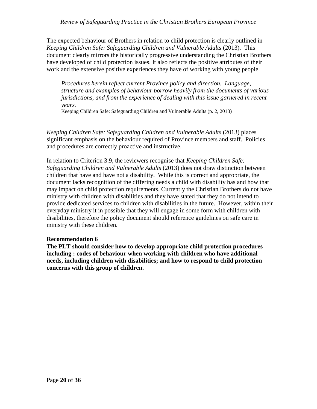The expected behaviour of Brothers in relation to child protection is clearly outlined in *Keeping Children Safe: Safeguarding Children and Vulnerable Adults* (2013). This document clearly mirrors the historically progressive understanding the Christian Brothers have developed of child protection issues. It also reflects the positive attributes of their work and the extensive positive experiences they have of working with young people.

*Procedures herein reflect current Province policy and direction. Language, structure and examples of behaviour borrow heavily from the documents of various jurisdictions, and from the experience of dealing with this issue garnered in recent years.* 

Keeping Children Safe: Safeguarding Children and Vulnerable Adults (p. 2, 2013)

*Keeping Children Safe: Safeguarding Children and Vulnerable Adults* (2013) places significant emphasis on the behaviour required of Province members and staff. Policies and procedures are correctly proactive and instructive.

In relation to Criterion 3.9, the reviewers recognise that *Keeping Children Safe: Safeguarding Children and Vulnerable Adults* (2013) does not draw distinction between children that have and have not a disability. While this is correct and appropriate, the document lacks recognition of the differing needs a child with disability has and how that may impact on child protection requirements. Currently the Christian Brothers do not have ministry with children with disabilities and they have stated that they do not intend to provide dedicated services to children with disabilities in the future. However, within their everyday ministry it in possible that they will engage in some form with children with disabilities, therefore the policy document should reference guidelines on safe care in ministry with these children.

## **Recommendation 6**

**The PLT should consider how to develop appropriate child protection procedures including : codes of behaviour when working with children who have additional needs, including children with disabilities; and how to respond to child protection concerns with this group of children.**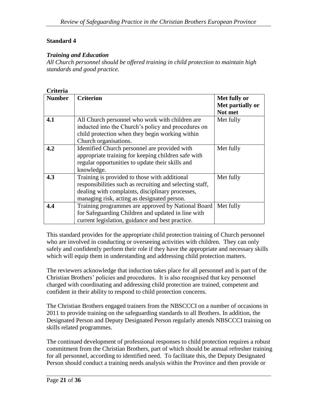#### **Standard 4**

#### *Training and Education*

*All Church personnel should be offered training in child protection to maintain high standards and good practice.*

#### **Criteria**

| <b>Number</b> | <b>Criterion</b>                                         | Met fully or     |
|---------------|----------------------------------------------------------|------------------|
|               |                                                          | Met partially or |
|               |                                                          | Not met          |
| 4.1           | All Church personnel who work with children are          | Met fully        |
|               | inducted into the Church's policy and procedures on      |                  |
|               | child protection when they begin working within          |                  |
|               | Church organisations.                                    |                  |
| 4.2           | Identified Church personnel are provided with            | Met fully        |
|               | appropriate training for keeping children safe with      |                  |
|               | regular opportunities to update their skills and         |                  |
|               | knowledge.                                               |                  |
| 4.3           | Training is provided to those with additional            | Met fully        |
|               | responsibilities such as recruiting and selecting staff, |                  |
|               | dealing with complaints, disciplinary processes,         |                  |
|               | managing risk, acting as designated person.              |                  |
| 4.4           | Training programmes are approved by National Board       | Met fully        |
|               | for Safeguarding Children and updated in line with       |                  |
|               | current legislation, guidance and best practice.         |                  |

This standard provides for the appropriate child protection training of Church personnel who are involved in conducting or overseeing activities with children. They can only safely and confidently perform their role if they have the appropriate and necessary skills which will equip them in understanding and addressing child protection matters.

The reviewers acknowledge that induction takes place for all personnel and is part of the Christian Brothers' policies and procedures. It is also recognised that key personnel charged with coordinating and addressing child protection are trained, competent and confident in their ability to respond to child protection concerns.

The Christian Brothers engaged trainers from the NBSCCCI on a number of occasions in 2011 to provide training on the safeguarding standards to all Brothers. In addition, the Designated Person and Deputy Designated Person regularly attends NBSCCCI training on skills related programmes.

The continued development of professional responses to child protection requires a robust commitment from the Christian Brothers, part of which should be annual refresher training for all personnel, according to identified need. To facilitate this, the Deputy Designated Person should conduct a training needs analysis within the Province and then provide or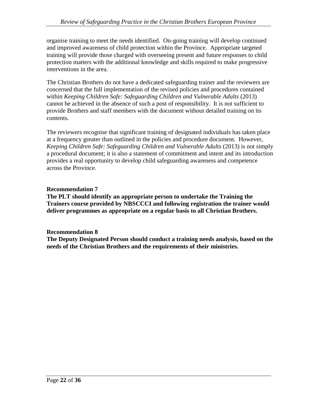organise training to meet the needs identified. On-going training will develop continued and improved awareness of child protection within the Province. Appropriate targeted training will provide those charged with overseeing present and future responses to child protection matters with the additional knowledge and skills required to make progressive interventions in the area.

The Christian Brothers do not have a dedicated safeguarding trainer and the reviewers are concerned that the full implementation of the revised policies and procedures contained within *Keeping Children Safe: Safeguarding Children and Vulnerable Adults* (2013) cannot be achieved in the absence of such a post of responsibility. It is not sufficient to provide Brothers and staff members with the document without detailed training on its contents.

The reviewers recognise that significant training of designated individuals has taken place at a frequency greater than outlined in the policies and procedure document. However, *Keeping Children Safe: Safeguarding Children and Vulnerable Adults (2013)* is not simply a procedural document; it is also a statement of commitment and intent and its introduction provides a real opportunity to develop child safeguarding awareness and competence across the Province.

## **Recommendation 7**

**The PLT should identify an appropriate person to undertake the Training the Trainers course provided by NBSCCCI and following registration the trainer would deliver programmes as appropriate on a regular basis to all Christian Brothers.**

## **Recommendation 8**

**The Deputy Designated Person should conduct a training needs analysis, based on the needs of the Christian Brothers and the requirements of their ministries.**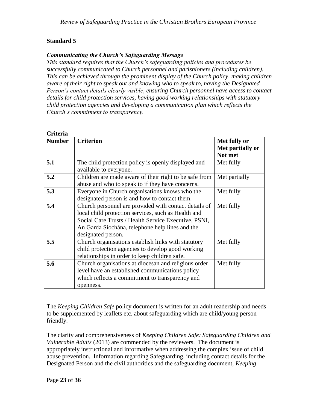#### **Standard 5**

#### *Communicating the Church's Safeguarding Message*

*This standard requires that the Church's safeguarding policies and procedures be successfully communicated to Church personnel and parishioners (including children). This can be achieved through the prominent display of the Church policy, making children aware of their right to speak out and knowing who to speak to, having the Designated Person's contact details clearly visible, ensuring Church personnel have access to contact details for child protection services, having good working relationships with statutory child protection agencies and developing a communication plan which reflects the Church's commitment to transparency.*

| Criteria      |                                                        |                  |
|---------------|--------------------------------------------------------|------------------|
| <b>Number</b> | <b>Criterion</b>                                       | Met fully or     |
|               |                                                        | Met partially or |
|               |                                                        | Not met          |
| 5.1           | The child protection policy is openly displayed and    | Met fully        |
|               | available to everyone.                                 |                  |
| 5.2           | Children are made aware of their right to be safe from | Met partially    |
|               | abuse and who to speak to if they have concerns.       |                  |
| 5.3           | Everyone in Church organisations knows who the         | Met fully        |
|               | designated person is and how to contact them.          |                  |
| 5.4           | Church personnel are provided with contact details of  | Met fully        |
|               | local child protection services, such as Health and    |                  |
|               | Social Care Trusts / Health Service Executive, PSNI,   |                  |
|               | An Garda Síochána, telephone help lines and the        |                  |
|               | designated person.                                     |                  |
| 5.5           | Church organisations establish links with statutory    | Met fully        |
|               | child protection agencies to develop good working      |                  |
|               | relationships in order to keep children safe.          |                  |
| 5.6           | Church organisations at diocesan and religious order   | Met fully        |
|               | level have an established communications policy        |                  |
|               | which reflects a commitment to transparency and        |                  |
|               | openness.                                              |                  |

The *Keeping Children Safe* policy document is written for an adult readership and needs to be supplemented by leaflets etc. about safeguarding which are child/young person friendly.

The clarity and comprehensiveness of *Keeping Children Safe: Safeguarding Children and Vulnerable Adults* (2013) are commended by the reviewers. The document is appropriately instructional and informative when addressing the complex issue of child abuse prevention. Information regarding Safeguarding, including contact details for the Designated Person and the civil authorities and the safeguarding document, *Keeping*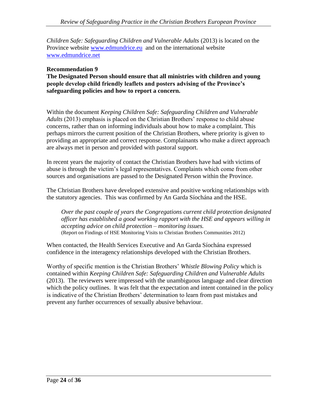*Children Safe: Safeguarding Children and Vulnerable Adults* (2013) is located on the Province website [www.edmundrice.eu](http://www.edmundrice.eu/) and on the international website [www.edmundrice.net](http://www.edmundrice.net/)

#### **Recommendation 9**

**The Designated Person should ensure that all ministries with children and young people develop child friendly leaflets and posters advising of the Province's safeguarding policies and how to report a concern.**

Within the document *Keeping Children Safe: Safeguarding Children and Vulnerable Adults* (2013) emphasis is placed on the Christian Brothers' response to child abuse concerns, rather than on informing individuals about how to make a complaint. This perhaps mirrors the current position of the Christian Brothers, where priority is given to providing an appropriate and correct response. Complainants who make a direct approach are always met in person and provided with pastoral support.

In recent years the majority of contact the Christian Brothers have had with victims of abuse is through the victim's legal representatives. Complaints which come from other sources and organisations are passed to the Designated Person within the Province.

The Christian Brothers have developed extensive and positive working relationships with the statutory agencies. This was confirmed by An Garda Síochána and the HSE.

*Over the past couple of years the Congregations current child protection designated officer has established a good working rapport with the HSE and appears willing in accepting advice on child protection – monitoring issues.* (Report on Findings of HSE Monitoring Visits to Christian Brothers Communities 2012)

When contacted, the Health Services Executive and An Garda Síochána expressed confidence in the interagency relationships developed with the Christian Brothers.

Worthy of specific mention is the Christian Brothers' *Whistle Blowing Policy* which is contained within *Keeping Children Safe: Safeguarding Children and Vulnerable Adults*  (2013). The reviewers were impressed with the unambiguous language and clear direction which the policy outlines. It was felt that the expectation and intent contained in the policy is indicative of the Christian Brothers' determination to learn from past mistakes and prevent any further occurrences of sexually abusive behaviour.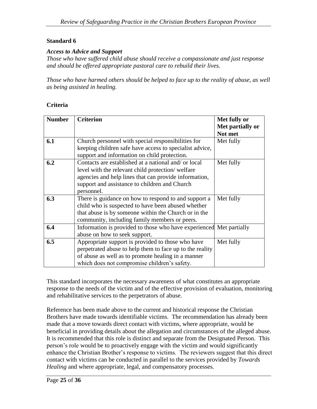#### **Standard 6**

#### *Access to Advice and Support*

*Those who have suffered child abuse should receive a compassionate and just response and should be offered appropriate pastoral care to rebuild their lives.*

*Those who have harmed others should be helped to face up to the reality of abuse, as well as being assisted in healing.*

#### **Criteria**

| <b>Number</b> | <b>Criterion</b>                                                    | Met fully or     |
|---------------|---------------------------------------------------------------------|------------------|
|               |                                                                     | Met partially or |
|               |                                                                     | Not met          |
| 6.1           | Church personnel with special responsibilities for                  | Met fully        |
|               | keeping children safe have access to specialist advice,             |                  |
|               | support and information on child protection.                        |                  |
| 6.2           | Contacts are established at a national and/or local                 | Met fully        |
|               | level with the relevant child protection/welfare                    |                  |
|               | agencies and help lines that can provide information,               |                  |
|               | support and assistance to children and Church                       |                  |
|               | personnel.                                                          |                  |
| 6.3           | There is guidance on how to respond to and support a                | Met fully        |
|               | child who is suspected to have been abused whether                  |                  |
|               | that abuse is by someone within the Church or in the                |                  |
|               | community, including family members or peers.                       |                  |
| 6.4           | Information is provided to those who have experienced Met partially |                  |
|               | abuse on how to seek support.                                       |                  |
| 6.5           | Appropriate support is provided to those who have                   | Met fully        |
|               | perpetrated abuse to help them to face up to the reality            |                  |
|               | of abuse as well as to promote healing in a manner                  |                  |
|               | which does not compromise children's safety.                        |                  |

This standard incorporates the necessary awareness of what constitutes an appropriate response to the needs of the victim and of the effective provision of evaluation, monitoring and rehabilitative services to the perpetrators of abuse.

Reference has been made above to the current and historical response the Christian Brothers have made towards identifiable victims. The recommendation has already been made that a move towards direct contact with victims, where appropriate, would be beneficial in providing details about the allegation and circumstances of the alleged abuse. It is recommended that this role is distinct and separate from the Designated Person. This person's role would be to proactively engage with the victim and would significantly enhance the Christian Brother's response to victims. The reviewers suggest that this direct contact with victims can be conducted in parallel to the services provided by *Towards Healing* and where appropriate, legal, and compensatory processes.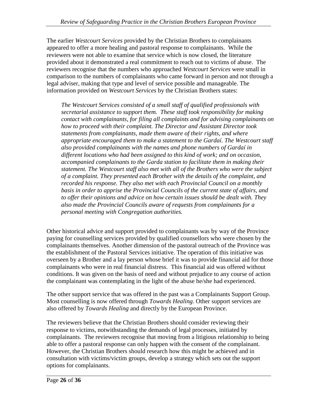The earlier *Westcourt Services* provided by the Christian Brothers to complainants appeared to offer a more healing and pastoral response to complainants. While the reviewers were not able to examine that service which is now closed, the literature provided about it demonstrated a real commitment to reach out to victims of abuse. The reviewers recognise that the numbers who approached *Westcourt Services* were small in comparison to the numbers of complainants who came forward in person and not through a legal adviser, making that type and level of service possible and manageable. The information provided on *Westcourt Services* by the Christian Brothers states:

*The Westcourt Services consisted of a small staff of qualified professionals with secretarial assistance to support them. These staff took responsibility for making contact with complainants, for filing all complaints and for advising complainants on how to proceed with their complaint. The Director and Assistant Director took statements from complainants, made them aware of their rights, and where appropriate encouraged them to make a statement to the Gardaí. The Westcourt staff also provided complainants with the names and phone numbers of Gardaí in different locations who had been assigned to this kind of work; and on occasion, accompanied complainants to the Garda station to facilitate them in making their statement. The Westcourt staff also met with all of the Brothers who were the subject of a complaint. They presented each Brother with the details of the complaint, and recorded his response. They also met with each Provincial Council on a monthly basis in order to apprise the Provincial Councils of the current state of affairs, and to offer their opinions and advice on how certain issues should be dealt with. They also made the Provincial Councils aware of requests from complainants for a personal meeting with Congregation authorities.*

Other historical advice and support provided to complainants was by way of the Province paying for counselling services provided by qualified counsellors who were chosen by the complainants themselves. Another dimension of the pastoral outreach of the Province was the establishment of the Pastoral Services initiative. The operation of this initiative was overseen by a Brother and a lay person whose brief it was to provide financial aid for those complainants who were in real financial distress. This financial aid was offered without conditions. It was given on the basis of need and without prejudice to any course of action the complainant was contemplating in the light of the abuse he/she had experienced.

The other support service that was offered in the past was a Complainants Support Group. Most counselling is now offered through *Towards Healing*. Other support services are also offered by *Towards Healing* and directly by the European Province.

The reviewers believe that the Christian Brothers should consider reviewing their response to victims, notwithstanding the demands of legal processes, initiated by complainants. The reviewers recognise that moving from a litigious relationship to being able to offer a pastoral response can only happen with the consent of the complainant. However, the Christian Brothers should research how this might be achieved and in consultation with victims/victim groups, develop a strategy which sets out the support options for complainants.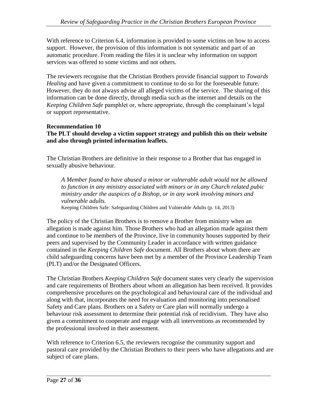With reference to Criterion 6.4, information is provided to some victims on how to access support. However, the provision of this information is not systematic and part of an automatic procedure. From reading the files it is unclear why information on support services was offered to some victims and not others.

The reviewers recognise that the Christian Brothers provide financial support to *Towards Healing* and have given a commitment to continue to do so for the foreseeable future. However, they do not always advise all alleged victims of the service. The sharing of this information can be done directly, through media such as the internet and details on the *Keeping Children Safe* pamphlet or, where appropriate, through the complainant's legal or support representative.

#### **Recommendation 10 The PLT should develop a victim support strategy and publish this on their website and also through printed information leaflets.**

The Christian Brothers are definitive in their response to a Brother that has engaged in sexually abusive behaviour.

*A Member found to have abused a minor or vulnerable adult would not be allowed to function in any ministry associated with minors or in any Church related pubic ministry under the auspices of a Bishop, or in any work involving minors and vulnerable adults.* 

Keeping Children Safe: Safeguarding Children and Vulnerable Adults (p. 14, 2013)

The policy of the Christian Brothers is to remove a Brother from ministry when an allegation is made against him. Those Brothers who had an allegation made against them and continue to be members of the Province, live in community houses supported by their peers and supervised by the Community Leader in accordance with written guidance contained in the *Keeping Children Safe* document. All Brothers about whom there are child safeguarding concerns have been met by a member of the Province Leadership Team (PLT) and/or the Designated Officers.

The Christian Brothers *Keeping Children Safe* document states very clearly the supervision and care requirements of Brothers about whom an allegation has been received. It provides comprehensive procedures on the psychological and behavioural care of the individual and along with that, incorporates the need for evaluation and monitoring into personalised Safety and Care plans. Brothers on a Safety or Care plan will normally undergo a behaviour risk assessment to determine their potential risk of recidivism. They have also given a commitment to cooperate and engage with all interventions as recommended by the professional involved in their assessment.

With reference to Criterion 6.5, the reviewers recognise the community support and pastoral care provided by the Christian Brothers to their peers who have allegations and are subject of care plans.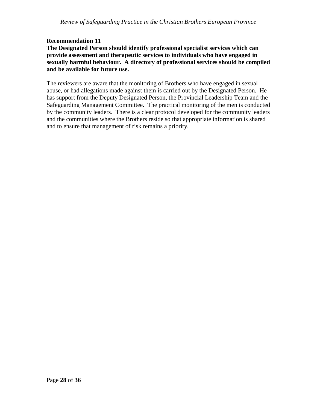## **Recommendation 11**

#### **The Designated Person should identify professional specialist services which can provide assessment and therapeutic services to individuals who have engaged in sexually harmful behaviour. A directory of professional services should be compiled and be available for future use.**

The reviewers are aware that the monitoring of Brothers who have engaged in sexual abuse, or had allegations made against them is carried out by the Designated Person. He has support from the Deputy Designated Person, the Provincial Leadership Team and the Safeguarding Management Committee. The practical monitoring of the men is conducted by the community leaders. There is a clear protocol developed for the community leaders and the communities where the Brothers reside so that appropriate information is shared and to ensure that management of risk remains a priority.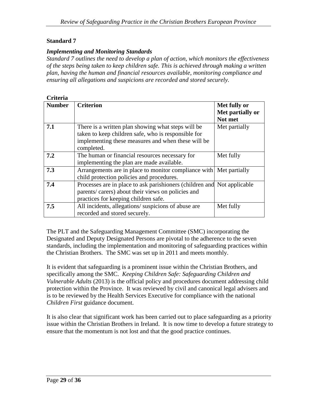#### **Standard 7**

#### *Implementing and Monitoring Standards*

*Standard 7 outlines the need to develop a plan of action, which monitors the effectiveness of the steps being taken to keep children safe. This is achieved through making a written plan, having the human and financial resources available, monitoring compliance and ensuring all allegations and suspicions are recorded and stored securely.*

| Criteria      |                                                                                                                                                                               |                                             |
|---------------|-------------------------------------------------------------------------------------------------------------------------------------------------------------------------------|---------------------------------------------|
| <b>Number</b> | <b>Criterion</b>                                                                                                                                                              | Met fully or<br>Met partially or<br>Not met |
| 7.1           | There is a written plan showing what steps will be<br>taken to keep children safe, who is responsible for<br>implementing these measures and when these will be<br>completed. | Met partially                               |
| 7.2           | The human or financial resources necessary for<br>implementing the plan are made available.                                                                                   | Met fully                                   |
| 7.3           | Arrangements are in place to monitor compliance with Met partially<br>child protection policies and procedures.                                                               |                                             |
| 7.4           | Processes are in place to ask parishioners (children and Not applicable<br>parents/ carers) about their views on policies and<br>practices for keeping children safe.         |                                             |
| 7.5           | All incidents, allegations/suspicions of abuse are<br>recorded and stored securely.                                                                                           | Met fully                                   |

The PLT and the Safeguarding Management Committee (SMC) incorporating the Designated and Deputy Designated Persons are pivotal to the adherence to the seven standards, including the implementation and monitoring of safeguarding practices within the Christian Brothers. The SMC was set up in 2011 and meets monthly.

It is evident that safeguarding is a prominent issue within the Christian Brothers, and specifically among the SMC. *Keeping Children Safe: Safeguarding Children and Vulnerable Adults* (2013) is the official policy and procedures document addressing child protection within the Province. It was reviewed by civil and canonical legal advisers and is to be reviewed by the Health Services Executive for compliance with the national *Children First* guidance document.

It is also clear that significant work has been carried out to place safeguarding as a priority issue within the Christian Brothers in Ireland. It is now time to develop a future strategy to ensure that the momentum is not lost and that the good practice continues.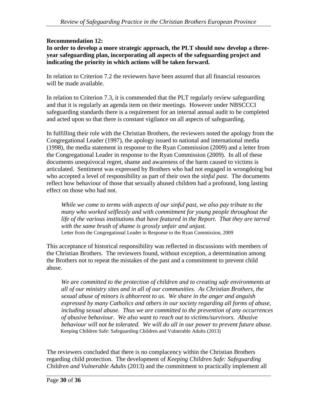## **Recommendation 12:**

**In order to develop a more strategic approach, the PLT should now develop a threeyear safeguarding plan, incorporating all aspects of the safeguarding project and indicating the priority in which actions will be taken forward.** 

In relation to Criterion 7.2 the reviewers have been assured that all financial resources will be made available.

In relation to Criterion 7.3, it is commended that the PLT regularly review safeguarding and that it is regularly an agenda item on their meetings. However under NBSCCCI safeguarding standards there is a requirement for an internal annual audit to be completed and acted upon so that there is constant vigilance on all aspects of safeguarding.

In fulfilling their role with the Christian Brothers, the reviewers noted the apology from the Congregational Leader (1997), the apology issued to national and international media (1998), the media statement in response to the Ryan Commission (2009) and a letter from the Congregational Leader in response to the Ryan Commission (2009). In all of these documents unequivocal regret, shame and awareness of the harm caused to victims is articulated. Sentiment was expressed by Brothers who had not engaged in wrongdoing but who accepted a level of responsibility as part of their own the *sinful past*. The documents reflect how behaviour of those that sexually abused children had a profound, long lasting effect on those who had not.

*While we come to terms with aspects of our sinful past, we also pay tribute to the many who worked selflessly and with commitment for young people throughout the life of the various institutions that have featured in the Report. That they are tarred with the same brush of shame is grossly unfair and unjust.*  Letter from the Congregational Leader in Response to the Ryan Commission, 2009

This acceptance of historical responsibility was reflected in discussions with members of the Christian Brothers. The reviewers found, without exception, a determination among the Brothers not to repeat the mistakes of the past and a commitment to prevent child abuse.

We are committed to the protection of children and to creating safe environments at *all of our ministry sites and in all of our communities. As Christian Brothers, the sexual abuse of minors is abhorrent to us. We share in the anger and anguish expressed by many Catholics and others in our society regarding all forms of abuse, including sexual abuse. Thus we are committed to the prevention of any occurrences of abusive behaviour. We also want to reach out to victims/survivors. Abusive behaviour will not be tolerated. We will do all in our power to prevent future abuse.* Keeping Children Safe: Safeguarding Children and Vulnerable Adults (2013)

The reviewers concluded that there is no complacency within the Christian Brothers regarding child protection. The development of *Keeping Children Safe: Safeguarding Children and Vulnerable Adults* (2013) and the commitment to practically implement all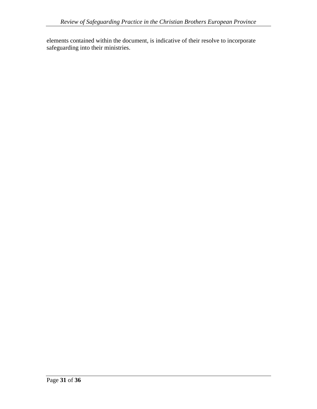elements contained within the document, is indicative of their resolve to incorporate safeguarding into their ministries.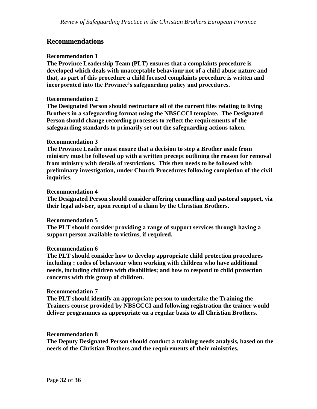## **Recommendations**

#### **Recommendation 1**

**The Province Leadership Team (PLT) ensures that a complaints procedure is developed which deals with unacceptable behaviour not of a child abuse nature and that, as part of this procedure a child focused complaints procedure is written and incorporated into the Province's safeguarding policy and procedures.**

#### **Recommendation 2**

**The Designated Person should restructure all of the current files relating to living Brothers in a safeguarding format using the NBSCCCI template. The Designated Person should change recording processes to reflect the requirements of the safeguarding standards to primarily set out the safeguarding actions taken.**

#### **Recommendation 3**

**The Province Leader must ensure that a decision to step a Brother aside from ministry must be followed up with a written precept outlining the reason for removal from ministry with details of restrictions. This then needs to be followed with preliminary investigation, under Church Procedures following completion of the civil inquiries.** 

#### **Recommendation 4**

**The Designated Person should consider offering counselling and pastoral support, via their legal adviser, upon receipt of a claim by the Christian Brothers.** 

#### **Recommendation 5**

**The PLT should consider providing a range of support services through having a support person available to victims, if required.** 

#### **Recommendation 6**

**The PLT should consider how to develop appropriate child protection procedures including : codes of behaviour when working with children who have additional needs, including children with disabilities; and how to respond to child protection concerns with this group of children.** 

#### **Recommendation 7**

**The PLT should identify an appropriate person to undertake the Training the Trainers course provided by NBSCCCI and following registration the trainer would deliver programmes as appropriate on a regular basis to all Christian Brothers.**

#### **Recommendation 8**

**The Deputy Designated Person should conduct a training needs analysis, based on the needs of the Christian Brothers and the requirements of their ministries.**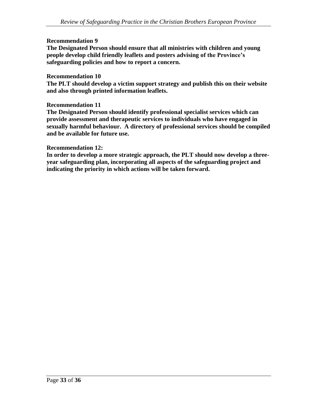#### **Recommendation 9**

**The Designated Person should ensure that all ministries with children and young people develop child friendly leaflets and posters advising of the Province's safeguarding policies and how to report a concern.**

#### **Recommendation 10**

**The PLT should develop a victim support strategy and publish this on their website and also through printed information leaflets.** 

#### **Recommendation 11**

**The Designated Person should identify professional specialist services which can provide assessment and therapeutic services to individuals who have engaged in sexually harmful behaviour. A directory of professional services should be compiled and be available for future use.** 

#### **Recommendation 12:**

**In order to develop a more strategic approach, the PLT should now develop a threeyear safeguarding plan, incorporating all aspects of the safeguarding project and indicating the priority in which actions will be taken forward.**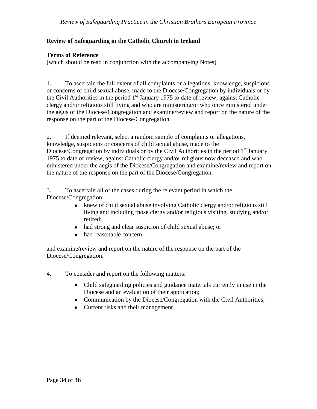## **Review of Safeguarding in the Catholic Church in Ireland**

#### **Terms of Reference**

(which should be read in conjunction with the accompanying Notes)

1. To ascertain the full extent of all complaints or allegations, knowledge, suspicions or concerns of child sexual abuse, made to the Diocese/Congregation by individuals or by the Civil Authorities in the period  $1<sup>st</sup>$  January 1975 to date of review, against Catholic clergy and/or religious still living and who are ministering/or who once ministered under the aegis of the Diocese/Congregation and examine/review and report on the nature of the response on the part of the Diocese/Congregation.

2. If deemed relevant, select a random sample of complaints or allegations, knowledge, suspicions or concerns of child sexual abuse, made to the Diocese/Congregation by individuals or by the Civil Authorities in the period  $1<sup>st</sup>$  January 1975 to date of review, against Catholic clergy and/or religious now deceased and who ministered under the aegis of the Diocese/Congregation and examine/review and report on the nature of the response on the part of the Diocese/Congregation.

3. To ascertain all of the cases during the relevant period in which the Diocese/Congregation:

- knew of child sexual abuse involving Catholic clergy and/or religious still living and including those clergy and/or religious visiting, studying and/or retired;
- had strong and clear suspicion of child sexual abuse; or
- had reasonable concern;

and examine/review and report on the nature of the response on the part of the Diocese/Congregation.

- 4. To consider and report on the following matters:
	- Child safeguarding policies and guidance materials currently in use in the Diocese and an evaluation of their application;
	- Communication by the Diocese/Congregation with the Civil Authorities;
	- Current risks and their management.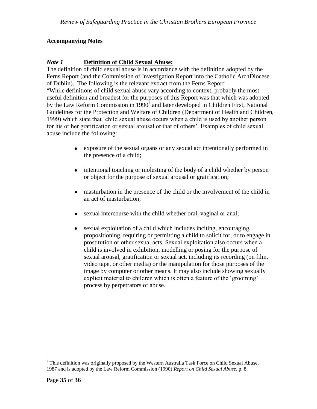## **Accompanying Notes**

## *Note 1* **Definition of Child Sexual Abuse:**

The definition of child sexual abuse is in accordance with the definition adopted by the Ferns Report (and the Commission of Investigation Report into the Catholic ArchDiocese of Dublin). The following is the relevant extract from the Ferns Report: "While definitions of child sexual abuse vary according to context, probably the most useful definition and broadest for the purposes of this Report was that which was adopted by the Law Reform Commission in  $1990<sup>2</sup>$  and later developed in Children First, National Guidelines for the Protection and Welfare of Children (Department of Health and Children, 1999) which state that 'child sexual abuse occurs when a child is used by another person for his or her gratification or sexual arousal or that of others'. Examples of child sexual abuse include the following:

- exposure of the sexual organs or any sexual act intentionally performed in the presence of a child;
- $\bullet$ intentional touching or molesting of the body of a child whether by person or object for the purpose of sexual arousal or gratification;
- masturbation in the presence of the child or the involvement of the child in an act of masturbation;
- sexual intercourse with the child whether oral, vaginal or anal;
- sexual exploitation of a child which includes inciting, encouraging,  $\bullet$ propositioning, requiring or permitting a child to solicit for, or to engage in prostitution or other sexual acts. Sexual exploitation also occurs when a child is involved in exhibition, modelling or posing for the purpose of sexual arousal, gratification or sexual act, including its recording (on film, video tape, or other media) or the manipulation for those purposes of the image by computer or other means. It may also include showing sexually explicit material to children which is often a feature of the 'grooming' process by perpetrators of abuse.

 $\overline{a}$ <sup>2</sup> This definition was originally proposed by the Western Australia Task Force on Child Sexual Abuse, 1987 and is adopted by the Law Reform Commission (1990) *Report on Child Sexual Abuse*, p. 8.